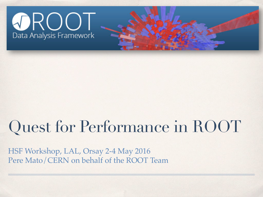

#### Quest for Performance in ROOT

HSF Workshop, LAL, Orsay 2-4 May 2016 Pere Mato/CERN on behalf of the ROOT Team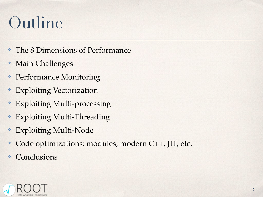#### Outline

- ✤ The 8 Dimensions of Performance
- ✤ Main Challenges
- ✤ Performance Monitoring
- ✤ Exploiting Vectorization
- ✤ Exploiting Multi-processing
- ✤ Exploiting Multi-Threading
- ✤ Exploiting Multi-Node
- ✤ Code optimizations: modules, modern C++, JIT, etc.
- **Conclusions**

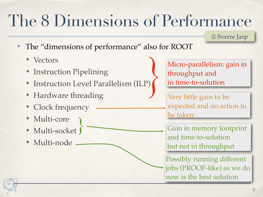#### The 8 Dimensions of Performance

© Sverre Jarp

- ✤ The "dimensions of performance" also for ROOT
	- ✤ Vectors
	- ✤ Instruction Pipelining
	- ✤ Instruction Level Parallelism (ILP)
	- ✤ Hardware threading
	- ✤ Clock frequency
	- ✤ Multi-core
	- ✤ Multi-socket
	- ✤ Multi-node

Micro-parallelism: gain in throughput and in time-to-solution

Very little gain to be expected and no action to be taken

Gain in memory footprint and time-to-solution but not in throughput

Possibly running different jobs (PROOF-like) as we do now is the best solution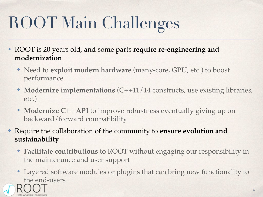## ROOT Main Challenges

- ✤ ROOT is 20 years old, and some parts **require re-engineering and modernization**
	- ✤ Need to **exploit modern hardware** (many-core, GPU, etc.) to boost performance
	- ✤ **Modernize implementations** (C++11/14 constructs, use existing libraries, etc.)
	- ✤ **Modernize C++ API** to improve robustness eventually giving up on backward/forward compatibility

✤ Require the collaboration of the community to **ensure evolution and sustainability**

- ✤ **Facilitate contributions** to ROOT without engaging our responsibility in the maintenance and user support
- ✤ Layered software modules or plugins that can bring new functionality to the end-users

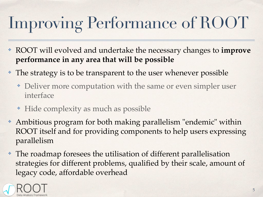## Improving Performance of ROOT

- ✤ ROOT will evolved and undertake the necessary changes to **improve performance in any area that will be possible**
- ✤ The strategy is to be transparent to the user whenever possible
	- ✤ Deliver more computation with the same or even simpler user interface
	- ✤ Hide complexity as much as possible
- ✤ Ambitious program for both making parallelism "endemic" within ROOT itself and for providing components to help users expressing parallelism
- ✤ The roadmap foresees the utilisation of different parallelisation strategies for different problems, qualified by their scale, amount of legacy code, affordable overhead

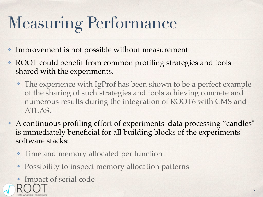## Measuring Performance

- Improvement is not possible without measurement
- ✤ ROOT could benefit from common profiling strategies and tools shared with the experiments.
	- ✤ The experience with IgProf has been shown to be a perfect example of the sharing of such strategies and tools achieving concrete and numerous results during the integration of ROOT6 with CMS and ATLAS.
- ✤ A continuous profiling effort of experiments' data processing "candles" is immediately beneficial for all building blocks of the experiments' software stacks:
	- ✤ Time and memory allocated per function
	- ✤ Possibility to inspect memory allocation patterns
	- ✤ Impact of serial code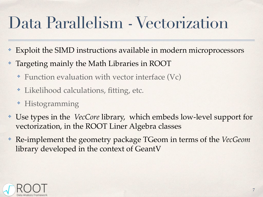#### Data Parallelism - Vectorization

- Exploit the SIMD instructions available in modern microprocessors
- ✤ Targeting mainly the Math Libraries in ROOT
	- ✤ Function evaluation with vector interface (Vc)
	- ✤ Likelihood calculations, fitting, etc.
	- ✤ Histogramming
- ✤ Use types in the *VecCore* library, which embeds low-level support for vectorization, in the ROOT Liner Algebra classes
- ✤ Re-implement the geometry package TGeom in terms of the *VecGeom* library developed in the context of GeantV

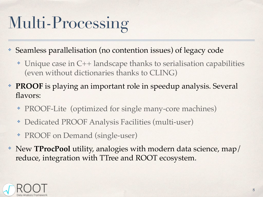## Multi-Processing

- Seamless parallelisation (no contention issues) of legacy code
	- ✤ Unique case in C++ landscape thanks to serialisation capabilities (even without dictionaries thanks to CLING)
- ✤ **PROOF** is playing an important role in speedup analysis. Several flavors:
	- ✤ PROOF-Lite (optimized for single many-core machines)
	- ✤ Dedicated PROOF Analysis Facilities (multi-user)
	- ✤ PROOF on Demand (single-user)
- ✤ New **TProcPool** utility, analogies with modern data science, map/ reduce, integration with TTree and ROOT ecosystem.

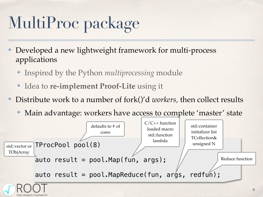## MultiProc package

- Developed a new lightweight framework for multi-process applications
	- ✤ Inspired by the Python *multiprocessing* module
	- ✤ Idea to **re-implement Proof-Lite** using it
- ✤ Distribute work to a number of fork()'d *workers,* then collect results
	- ✤ Main advantage: workers have access to complete 'master' state

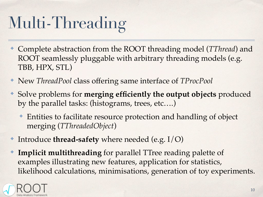## Multi-Threading

- ✤ Complete abstraction from the ROOT threading model (*TThread*) and ROOT seamlessly pluggable with arbitrary threading models (e.g. TBB, HPX, STL)
- ✤ New *ThreadPool* class offering same interface of *TProcPool*
- ✤ Solve problems for **merging efficiently the output objects** produced by the parallel tasks: (histograms, trees, etc….)
	- ✤ Entities to facilitate resource protection and handling of object merging (*TThreadedObject*)
- ✤ Introduce **thread-safety** where needed (e.g. I/O)
- **Implicit multithreading** for parallel TTree reading palette of examples illustrating new features, application for statistics, likelihood calculations, minimisations, generation of toy experiments.

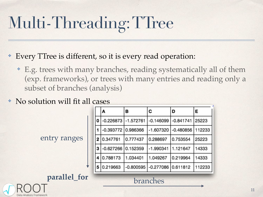## Multi-Threading: TTree

- ✤ Every TTree is different, so it is every read operation:
	- ✤ E.g. trees with many branches, reading systematically all of them (exp. frameworks), or trees with many entries and reading only a subset of branches (analysis)

#### ✤ No solution will fit all cases

entry ranges

|   | A                    | в                       | C                    | D                             | Е      |
|---|----------------------|-------------------------|----------------------|-------------------------------|--------|
| 0 |                      | $-0.226873$ $-1.572761$ |                      | $-0.146099$ $-0.841741$ 25223 |        |
|   | -0.393772 0.986366   |                         |                      | $-1.607320$ $-0.480856$       | 112233 |
| 2 | 0.347761             | 0.777437                | 0.288697             | 0.753554                      | 25223  |
| 3 | $-0.627266$ 0.152359 |                         | $-1.990341$          | 1.121647                      | 14333  |
|   | 4 0.788173           | 1.034401                | 1.049267             | 0.219964                      | 14333  |
| 5 | 0.219663             | $-0.800595$             | $-0.277086$ 0.611812 |                               | 112233 |

# branches **parallel\_for**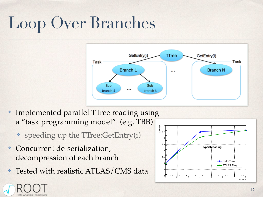## Loop Over Branches



- ✤ Implemented parallel TTree reading using a "task programming model" (e.g. TBB)
	- ✤ speeding up the TTree:GetEntry(i)
- ✤ Concurrent de-serialization, decompression of each branch
- Tested with realistic ATLAS/CMS data

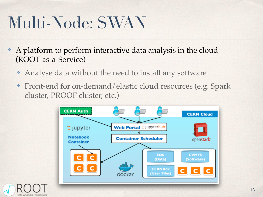#### Multi-Node: SWAN

- ✤ A platform to perform interactive data analysis in the cloud (ROOT-as-a-Service)
	- ✤ Analyse data without the need to install any software
	- ✤ Front-end for on-demand/elastic cloud resources (e.g. Spark cluster, PROOF cluster, etc.)



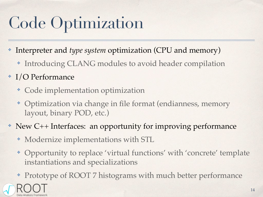#### Code Optimization

- Interpreter and *type system* optimization (CPU and memory)
	- ✤ Introducing CLANG modules to avoid header compilation
- ✤ I/O Performance
	- ✤ Code implementation optimization
	- ✤ Optimization via change in file format (endianness, memory layout, binary POD, etc.)
- ✤ New C++ Interfaces: an opportunity for improving performance
	- ✤ Modernize implementations with STL
	- ✤ Opportunity to replace 'virtual functions' with 'concrete' template instantiations and specializations
	- ✤ Prototype of ROOT 7 histograms with much better performance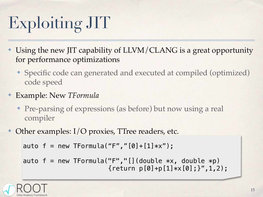## Exploiting JIT

- Using the new JIT capability of LLVM/CLANG is a great opportunity for performance optimizations
	- ✤ Specific code can generated and executed at compiled (optimized) code speed
- ✤ Example: New *TFormula*
	- ✤ Pre-parsing of expressions (as before) but now using a real compiler
- Other examples: I/O proxies, TTree readers, etc.

auto  $f = new TFormula("F", "[0]+[1]*x")$ ;

auto  $f = new TFormula("F", "[] (double *x, double *p)$  ${recturn p[0]+p[1]*x[0];}''$ , 1, 2);

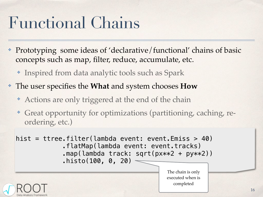#### Functional Chains

- Prototyping some ideas of 'declarative/functional' chains of basic concepts such as map, filter, reduce, accumulate, etc.
	- ✤ Inspired from data analytic tools such as Spark
- ✤ The user specifies the **What** and system chooses **How**
	- ✤ Actions are only triggered at the end of the chain
	- ✤ Great opportunity for optimizations (partitioning, caching, reordering, etc.)

```
hist = ttree.filter(lambda event: event.Emiss > 40)
 .flatMap(lambda event: event.tracks)
.map(lambda track: sqrt(px**2 + py**2))
 .histo(100, 0, 20)
```


The chain is only executed when is completed